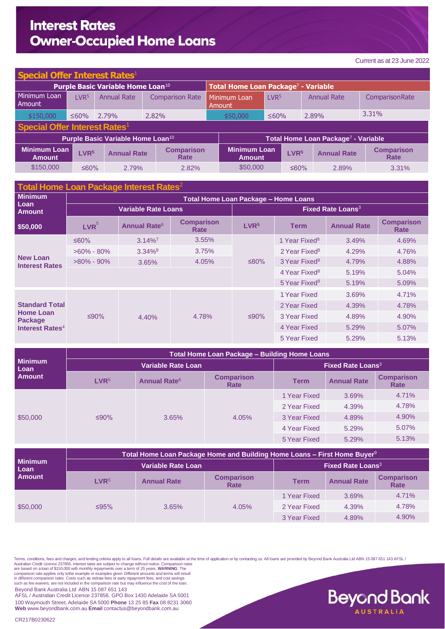## **Interest Rates Owner-Occupied Home Loans**

**Beyond Bank AUSTRALIA** 

| <b>Special Offer Interest Rates1</b>          |                  |                    |                           |                                                 |                  |                  |                    |                           |  |
|-----------------------------------------------|------------------|--------------------|---------------------------|-------------------------------------------------|------------------|------------------|--------------------|---------------------------|--|
| Purple Basic Variable Home Loan <sup>10</sup> |                  |                    |                           | Total Home Loan Package <sup>7</sup> - Variable |                  |                  |                    |                           |  |
| Minimum Loan<br>Amount                        | LVR <sub>5</sub> | <b>Annual Rate</b> | <b>Comparison Rate</b>    | Minimum Loan<br>l Amount                        | LVR <sup>5</sup> |                  | <b>Annual Rate</b> | ComparisonRate            |  |
| \$150,000                                     | ≤60%             | 2.79%              | 2.82%                     | \$50,000                                        | $≤60%$           |                  | 2.89%              | 3.31%                     |  |
| Special Offer Interest Rates <sup>1</sup>     |                  |                    |                           |                                                 |                  |                  |                    |                           |  |
| Purple Basic Variable Home Loan <sup>10</sup> |                  |                    |                           | Total Home Loan Package <sup>7</sup> - Variable |                  |                  |                    |                           |  |
| <b>Minimum Loan</b><br><b>Amount</b>          | LVR <sup>5</sup> | <b>Annual Rate</b> | <b>Comparison</b><br>Rate | <b>Minimum Loan</b><br><b>Amount</b>            |                  | LVR <sup>5</sup> | <b>Annual Rate</b> | <b>Comparison</b><br>Rate |  |
| \$150,000                                     | ≤60%             | 2.79%              | 2.82%                     | \$50,000                                        |                  | ≤60%             | 2.89%              | $3.31\%$                  |  |

| Total Home Loan Package Interest Rates <sup>2</sup>                                        |                                      |                                |                           |                                     |                           |                    |                                  |  |  |
|--------------------------------------------------------------------------------------------|--------------------------------------|--------------------------------|---------------------------|-------------------------------------|---------------------------|--------------------|----------------------------------|--|--|
| <b>Minimum</b><br>Loan<br>Amount                                                           | Total Home Loan Package - Home Loans |                                |                           |                                     |                           |                    |                                  |  |  |
|                                                                                            |                                      | Variable Rate Loans            |                           | <b>Fixed Rate Loans<sup>3</sup></b> |                           |                    |                                  |  |  |
| \$50,000                                                                                   | LVR <sup>5</sup>                     | <b>Annual Rate<sup>6</sup></b> | <b>Comparison</b><br>Rate | LVR <sup>5</sup>                    | <b>Term</b>               | <b>Annual Rate</b> | <b>Comparison</b><br><b>Rate</b> |  |  |
| <b>New Loan</b><br><b>Interest Rates</b>                                                   | ≤60%                                 | $3.14\%$ <sup>7</sup>          | 3.55%                     |                                     | 1 Year Fixed <sup>8</sup> | 3.49%              | 4.69%                            |  |  |
|                                                                                            | $>60\% - 80\%$                       | $3.34\%$ <sup>8</sup>          | 3.75%                     |                                     | 2 Year Fixed <sup>8</sup> | 4.29%              | 4.76%                            |  |  |
|                                                                                            | $>80\%$ - 90%                        | 3.65%                          | 4.05%                     | ≤80%                                | 3 Year Fixed <sup>8</sup> | 4.79%              | 4.88%                            |  |  |
|                                                                                            |                                      |                                |                           |                                     | 4 Year Fixed <sup>8</sup> | 5.19%              | 5.04%                            |  |  |
|                                                                                            |                                      |                                |                           |                                     | 5 Year Fixed <sup>8</sup> | 5.19%              | 5.09%                            |  |  |
| <b>Standard Total</b><br><b>Home Loan</b><br><b>Package</b><br>Interest Rates <sup>4</sup> | $\leq 90\%$                          | 4.40%                          | 4.78%                     | ≤90%                                | 1 Year Fixed              | 3.69%              | 4.71%                            |  |  |
|                                                                                            |                                      |                                |                           |                                     | 2 Year Fixed              | 4.39%              | 4.78%                            |  |  |
|                                                                                            |                                      |                                |                           |                                     | 3 Year Fixed              | 4.89%              | 4.90%                            |  |  |
|                                                                                            |                                      |                                |                           |                                     | 4 Year Fixed              | 5.29%              | 5.07%                            |  |  |
|                                                                                            |                                      |                                |                           |                                     | 5 Year Fixed              | 5.29%              | 5.13%                            |  |  |

|                                         | <b>Total Home Loan Package - Building Home Loans</b> |                                     |                           |              |                    |                           |  |  |
|-----------------------------------------|------------------------------------------------------|-------------------------------------|---------------------------|--------------|--------------------|---------------------------|--|--|
| <b>Minimum</b><br>Loan<br><b>Amount</b> |                                                      | <b>Fixed Rate Loans<sup>3</sup></b> |                           |              |                    |                           |  |  |
|                                         | LVR <sup>5</sup>                                     | <b>Annual Rate<sup>6</sup></b>      | <b>Comparison</b><br>Rate | <b>Term</b>  | <b>Annual Rate</b> | <b>Comparison</b><br>Rate |  |  |
| \$50,000                                | ≤90%                                                 | 3.65%                               | 4.05%                     | 1 Year Fixed | 3.69%              | 4.71%                     |  |  |
|                                         |                                                      |                                     |                           | 2 Year Fixed | 4.39%              | 4.78%                     |  |  |
|                                         |                                                      |                                     |                           | 3 Year Fixed | 4.89%              | 4.90%                     |  |  |
|                                         |                                                      |                                     |                           | 4 Year Fixed | 5.29%              | 5.07%                     |  |  |
|                                         |                                                      |                                     |                           | 5 Year Fixed | 5.29%              | 5.13%                     |  |  |

| <b>Minimum</b><br>Loan<br><b>Amount</b> | Total Home Loan Package Home and Building Home Loans – First Home Buyer $9$ |                                     |                           |              |                    |                           |  |  |
|-----------------------------------------|-----------------------------------------------------------------------------|-------------------------------------|---------------------------|--------------|--------------------|---------------------------|--|--|
|                                         |                                                                             | <b>Fixed Rate Loans<sup>3</sup></b> |                           |              |                    |                           |  |  |
|                                         | LVR <sup>5</sup>                                                            | <b>Annual Rate</b>                  | <b>Comparison</b><br>Rate | Term         | <b>Annual Rate</b> | <b>Comparison</b><br>Rate |  |  |
| \$50,000                                | $\leq$ 95%                                                                  | 3.65%                               | 4.05%                     | 1 Year Fixed | 3.69%              | 4.71%                     |  |  |
|                                         |                                                                             |                                     |                           | 2 Year Fixed | 4.39%              | 4.78%                     |  |  |
|                                         |                                                                             |                                     |                           | 3 Year Fixed | 4.89%              | 4.90%                     |  |  |

Terms, conditions, fees and charges, and lending criteria apply to all loans. Full details are available at the time of application or by contacting us. All loans are provided by Beyond Bank Australia Ltd ABN 15 087 651 14

comparison rate applies only tothe example or examples given. Different amounts and terms will result<br>in different comparison rates. Costs such as redraw fees or early repayment fees, and cost savings<br>such as fee waivers,

Beyond Bank Australia Ltd ABN 15 087 651 143

AFSL / Australian Credit Licence 237856. GPO Box 1430 Adelaide SA 5001 100 Waymouth Street, Adelaide SA 5000 **Phone** 13 25 85 **Fax** 08 8231 3060 **Web** [www.beyondbank.com.au](http://www.beyondbank.com.au/) **Email** [contactus@beyondbank.com.au](mailto:contactus@beyondbank.com.au)